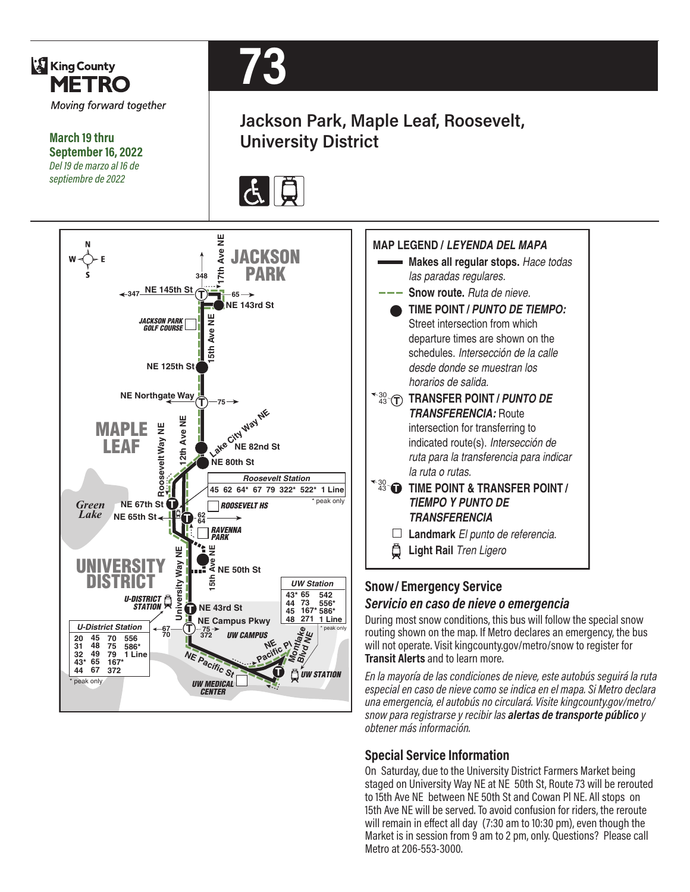

#### **Special Service Information**

On Saturday, due to the University District Farmers Market being staged on University Way NE at NE 50th St, Route 73 will be rerouted to 15th Ave NE between NE 50th St and Cowan Pl NE. All stops on 15th Ave NE will be served. To avoid confusion for riders, the reroute will remain in effect all day (7:30 am to 10:30 pm), even though the Market is in session from 9 am to 2 pm, only. Questions? Please call Metro at 206-553-3000.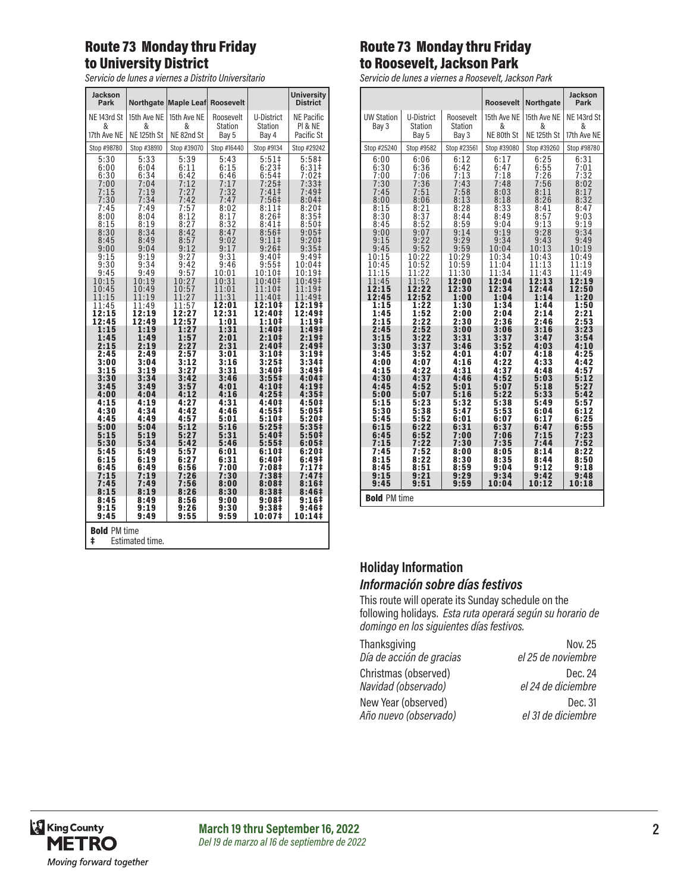# Route 73 Monday thru Friday to University District

*Servicio de lunes a viernes a Distrito Universitario*

| <b>Jackson</b><br>Park                      |                        | Northgate Maple Leaf Roosevelt |                      |                                        | <b>University</b><br><b>District</b>    |  |
|---------------------------------------------|------------------------|--------------------------------|----------------------|----------------------------------------|-----------------------------------------|--|
| NE <sub>143rd</sub> St<br>&                 | 15th Ave NE<br>&       | 15th Ave NE<br>&               | Roosevelt<br>Station | U-District<br><b>Station</b>           | <b>NE Pacific</b><br><b>PI &amp; NE</b> |  |
| 17th Ave NE                                 | NE <sub>125th</sub> St | NE 82nd St                     | Bay 5                | Bay 4                                  | Pacific St                              |  |
| Stop #98780                                 | Stop #38910            | Stop #39070                    | Stop #16440          | Stop #9134                             | Stop #29242                             |  |
| 5:30<br>6:00                                | 5:33<br>6:04           | 5:39<br>6:11                   | 5:43<br>6:15         | $5:51+$<br>$6:23+$                     | 5:58 <sup>‡</sup><br>6:31 <sup>‡</sup>  |  |
| 6:30                                        | 6:34                   | 6:42                           | 6:46                 | 6:54#                                  | 7:02‡                                   |  |
| 7:00<br>7:15                                | 7:04<br>7:19           | 7:12<br>7:27                   | 7:17<br>7:32         | $7:25+$<br>7:41‡                       | 7:33 <sup>‡</sup><br>7:49 <sup>‡</sup>  |  |
| 7:30                                        | 7:34                   | 7:42                           | 7:47                 | 7:56 <sup>‡</sup>                      | $8:04\pm$                               |  |
| 7:45<br>8:00                                | 7:49<br>8:04           | 7:57<br>8:12                   | 8:02<br>8:17         | 8:11#<br>8:26#                         | 8:20#<br>8:35#                          |  |
| 8:15                                        | 8:19                   | 8:27                           | 8:32                 | $8:41\pm$                              | 8:50#                                   |  |
| 8:30<br>8:45                                | 8:34<br>8:49           | 8:42<br>8:57                   | 8:47<br>9:02         | 8:56 <sup>‡</sup><br>9:11              | $9:05\ddagger$<br>9:20‡                 |  |
| 9:00                                        | 9:04                   | 9:12                           | 9:17                 | $9:26+$                                | $9:35+$                                 |  |
| 9:15<br>9:30                                | 9:19<br>9:34           | 9:27<br>9:42                   | 9:31<br>9:46         | 9:40 <sup>‡</sup><br>$9:55^{\ddagger}$ | $9:49^+$<br>10:04‡                      |  |
| 9:45                                        | 9:49                   | 9:57                           | 10:01                | 10:10‡                                 | 10:19‡                                  |  |
| 10:15<br>10:45                              | 10:19<br>10:49         | 10:27<br>10:57                 | 10:31<br>11:01       | 10:40‡<br>$11:10+$                     | 10:49‡<br>11:19‡                        |  |
| 11:15                                       | 11:19                  | 11:27                          | 11:31                | 11:40‡                                 | 11:49‡                                  |  |
| 11:45<br>12:15                              | 11:49<br>12:19         | 11:57<br>12:27                 | 12:01<br>12:31       | 12:10‡<br>12:40‡                       | 12:19‡<br>12:49‡                        |  |
| 12:45                                       | 12:49                  | 12:57                          | 1:01                 | 1:10‡                                  | 1:19 <sup>‡</sup>                       |  |
| 1:15<br>1:45                                | 1:19<br>1:49           | 1:27<br>1:57                   | 1:31<br>2:01         | 1:40‡<br>2:10‡                         | 1:49‡<br>2:19‡                          |  |
| 2:15                                        | 2:19                   | 2:27                           | 2:31                 | 2:40‡                                  | 2:49‡                                   |  |
| 2:45<br>3:00                                | 2:49<br>3:04           | 2:57<br>3:12                   | 3:01<br>3:16         | 3:10‡<br>3:25‡                         | 3:19#<br>3:34‡                          |  |
| 3:15<br>3:30                                | 3:19<br>3:34           | 3:27<br>3:42                   | 3:31<br>3:46         | 3:40‡<br>$3:55\ddagger$                | 3:49‡<br>4:04 <sup>‡</sup>              |  |
| 3:45                                        | 3:49                   | 3:57                           | 4:01                 | 4:10‡                                  | 4:19 <sup>‡</sup>                       |  |
| 4:00<br>4:15                                | 4:04<br>4:19           | 4:12<br>4:27                   | 4:16<br>4:31         | 4:25‡<br>4:40‡                         | 4:35‡<br>4:50‡                          |  |
| 4:30                                        | 4:34                   | 4:42                           | 4:46                 | 4:55‡                                  | 5:05‡                                   |  |
| 4:45<br>5:00                                | 4:49<br>5:04           | 4:57<br>5:12                   | 5:01<br>5:16         | 5:10‡<br>5:25‡                         | 5:20‡<br>5:35#                          |  |
| 5:15<br>5:30                                | 5:19<br>5:34           | 5:27<br>5:42                   | 5:31                 | 5:40‡                                  | 5:50‡                                   |  |
| 5:45                                        | 5:49                   | 5:57                           | 5:46<br>6:01         | 5:55‡<br>6:10‡                         | 6:05#<br>6:20#                          |  |
| 6:15                                        | 6:19                   | 6:27                           | 6:31                 | 6:40‡                                  | 6:49#                                   |  |
| 6:45<br>7:15                                | 6:49<br>7:19           | 6:56<br>7:26                   | 7:00<br>7:30         | 7:08‡<br>7:38‡                         | 7:17‡<br>7:47‡                          |  |
| 7:45<br>8:15                                | 7:49<br>8:19           | 7:56<br>8:26                   | 8:00<br>8:30         | 8:08‡<br>8:38‡                         | 8:16‡<br>8:46‡                          |  |
| 8:45                                        | 8:49                   | 8:56                           | 9:00                 | 9:08‡                                  | 9:16‡                                   |  |
| 9:15<br>9:45                                | 9:19<br>9:49           | 9:26<br>9:55                   | 9:30<br>9:59         | 9:38‡<br>10:07‡                        | 9:46‡<br>10:14‡                         |  |
| <b>Bold PM time</b><br>ŧ<br>Estimated time. |                        |                                |                      |                                        |                                         |  |

# Route 73 Monday thru Friday to Roosevelt, Jackson Park

*Servicio de lunes a viernes a Roosevelt, Jackson Park*

|                      |                      |                      | <b>Roosevelt</b>     | <b>Northgate</b>         | <b>Jackson</b><br>Park |  |
|----------------------|----------------------|----------------------|----------------------|--------------------------|------------------------|--|
| <b>UW Station</b>    | U-District           | Roosevelt            | 15th Ave NE          | 15th Ave NE              | NE <sub>143rd</sub> St |  |
| Bay 3                | Station              | Station              | &                    | &                        | &                      |  |
|                      | Bay 5                | Bay 3                | NE 80th St           | NE <sub>125th</sub> St   | 17th Ave NE            |  |
| Stop #25240          | Stop #9582           | Stop #23561          | Stop #39080          | Stop #39260              | Stop #98780            |  |
| 6:00<br>6:30<br>7:00 | 6:06<br>6:36<br>7:06 | 6:12<br>6:42<br>7:13 | 6:17<br>6:47<br>7:18 | $6:25$<br>$6:55$<br>7:26 | $6:31$<br>7:01<br>7:32 |  |
| 7:30                 | 7:36                 | 7:43                 | 7:48                 | 7:56                     | 8:02                   |  |
| 7:45                 | 7:51                 | 7:58                 | 8:03                 | 8:11                     | 8:17                   |  |
| 8:00                 | 8:06                 | 8:13                 | 8:18                 | 8:26                     | 8:32                   |  |
| 8:15                 | 8:21                 | 8:28                 | 8:33                 | 8:41                     | 8:47                   |  |
| 8:30                 | 8:37                 | 8:44                 | 8:49                 | 8:57                     | 9:03                   |  |
| 8:45                 | 8:52                 | 8:59                 | 9:04                 | 9:13                     | 9:19                   |  |
| 9:00                 | 9:07                 | 9:14                 | 9:19                 | 9:28                     | 9:34                   |  |
| 9:15                 | 9:22                 | 9:29                 | 9:34                 | 9:43                     | 9:49                   |  |
| 9:45                 | 9:52                 | 9:59                 | 10:04                | 10:13                    | 10:19                  |  |
| 10:15                | 10:22                | 10:29                | 10:34                | 10:43                    | 10:49                  |  |
| 10:45                | 10:52                | 10:59                | 11:04                | 11:13                    | 11:19                  |  |
| 11:15                | 11:22                | 11:30                | 11:34                | 11:43                    | 11:49                  |  |
| 11:45                | 11:52                | 12:00                | 12:04                | 12:13                    | 12:19                  |  |
| 12:15                | 12:22                | 12:30                | 12:34                | 12:44                    | 12:50                  |  |
| 12:45                | 12:52                | 1:00                 | 1:04                 | 1:14                     | 1:20                   |  |
| 1:15                 | 1:22                 | 1:30                 | 1:34                 | 1:44                     | 1:50                   |  |
| 1:45                 | 1:52                 | 2:00                 | 2:04                 | 2:14                     | 2:21                   |  |
| 2:15                 | 2:22                 | 2:30                 | 2:36                 | 2:46                     | 2:53                   |  |
| 2:45                 | 2:52                 | 3:00                 | 3:06                 | 3:16                     | 3:23                   |  |
| 3:15                 | 3:22                 | 3:31                 | 3:37                 | 3:47                     | 3:54                   |  |
| 3:30                 | 3:37                 | 3:46                 | 3:52                 | 4:03                     | 4:10                   |  |
| 3:45                 | 3:52                 | 4:01                 | 4:07                 | 4:18                     | 4:25                   |  |
| 4:00                 | 4:07                 | 4:16                 | 4:22                 | 4:33                     | 4:42                   |  |
| 4:15                 | 4:22                 | 4:31                 | 4:37                 | 4:48                     | 4:57                   |  |
| 4:30                 | 4:37                 | 4:46                 | 4:52                 | 5:03                     | 5:12                   |  |
| 4:45                 | 4:52                 | 5:01                 | 5:07                 | 5:18                     | 5:27                   |  |
| 5:00                 | 5:07                 | 5:16                 | 5:22                 | 5:33                     | 5:42                   |  |
| 5:15                 | 5:23                 | 5:32                 | 5:38                 | 5:49                     | 5:57                   |  |
| 5:30                 | 5:38                 | 5:47                 | 5:53                 | 6:04                     | 6:12                   |  |
| 5:45                 | 5:52                 | 6:01                 | 6:07                 | 6:17                     | 6:25                   |  |
| 6:15                 | 6:22                 | 6:31                 | 6:37                 | 6:47                     | 6:55                   |  |
| 6:45                 | 6:52                 | 7:00                 | 7:06                 | 7:15                     | 7:23                   |  |
| 7:15                 | 7:22                 | 7:30                 | 7:35                 | 7:44                     | 7:52                   |  |
| 7:45                 | 7:52                 | 8:00                 | 8:05                 | 8:14                     | 8:22                   |  |
| 8:15                 | 8:22                 | 8:30                 | 8:35                 | 8:44                     | 8:50                   |  |
| 8:45                 | 8:51                 | 8:59                 | 9:04                 | 9:12                     | 9:18                   |  |
| 9:15                 | 9:21                 | 9:29                 | 9:34                 | 9:42                     | 9:48                   |  |
| 9:45                 | 9:51                 | 9:59                 | 10:04                | 10:12                    | 10:18                  |  |
| <b>Bold PM time</b>  |                      |                      |                      |                          |                        |  |

#### **Holiday Information** *Información sobre días festivos*

This route will operate its Sunday schedule on the following holidays. *Esta ruta operará según su horario de domingo en los siguientes días festivos.*

Thanksgiving Nov. 25<br>Día de acción de gracias el 25 de noviembre *Día de acción de gracias* 

Christmas (observed) Dec. 24<br>
Navidad (observado) el 24 de diciembre

New Year (observed) Dec. 31<br>Año nuevo (observado) el 31 de diciembre *Año nuevo (observado)* 

*Navidad (observado)*